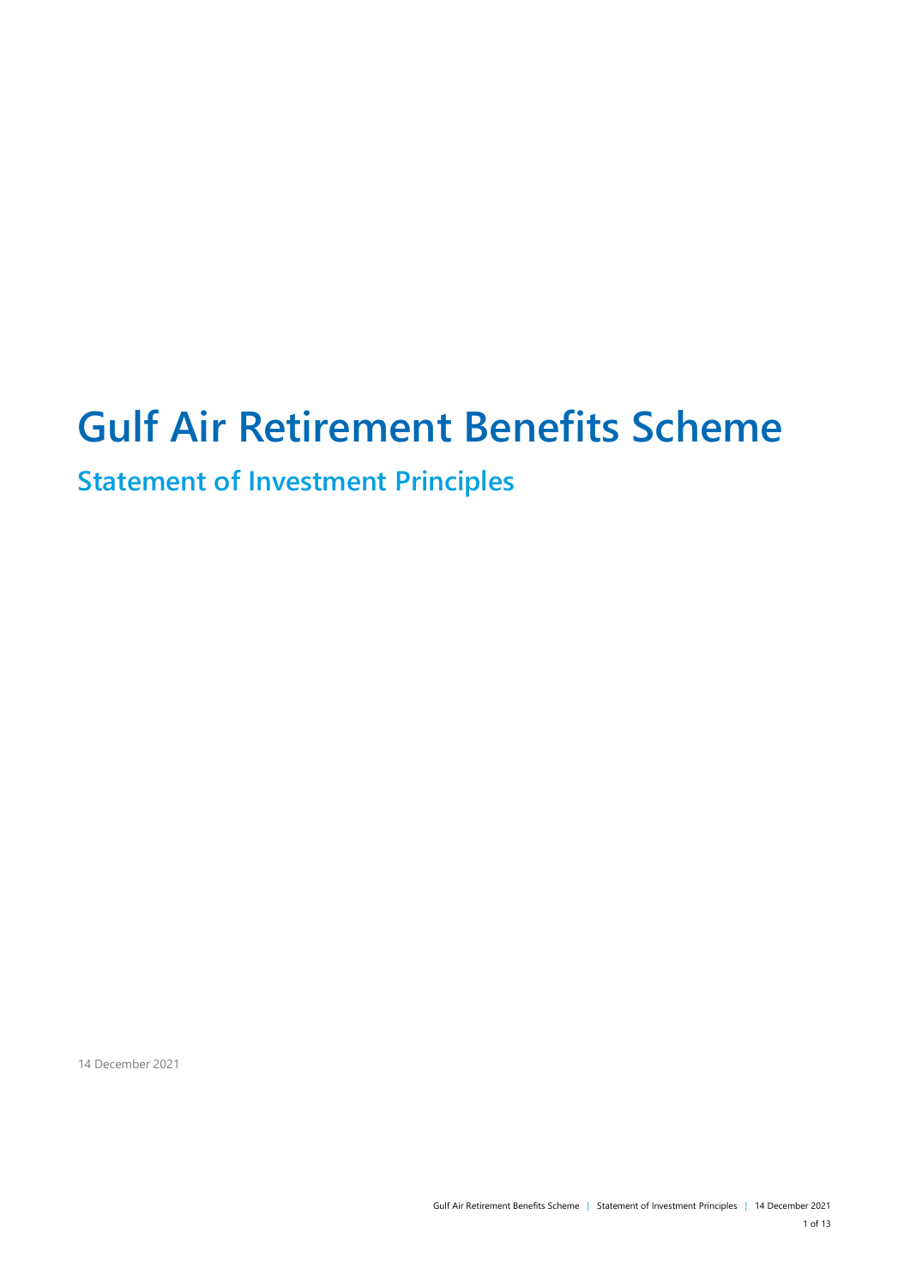# **Gulf Air Retirement Benefits Scheme**

**Statement of Investment Principles**

14 December 2021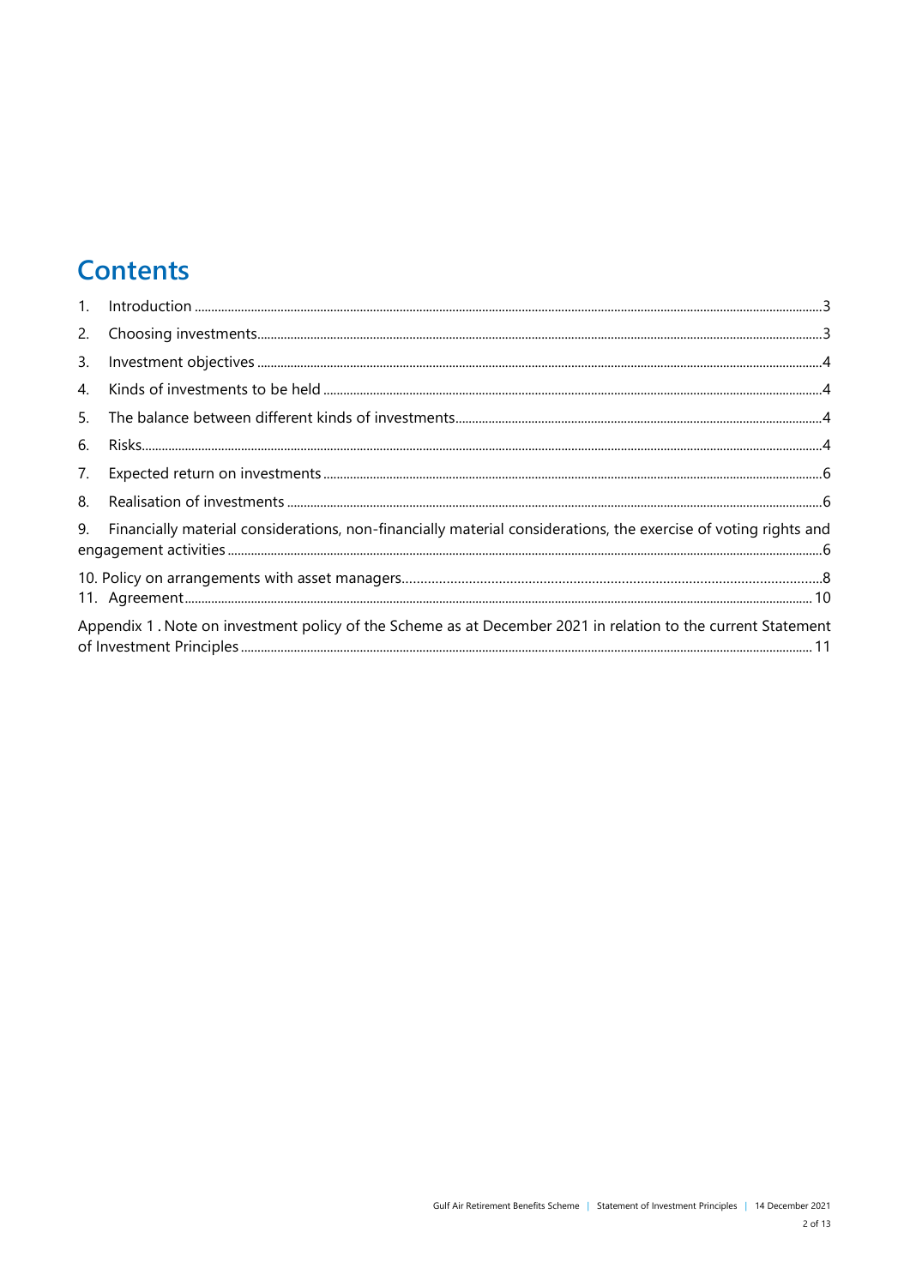## **Contents**

| $1_{\cdot}$    |                                                                                                                 |
|----------------|-----------------------------------------------------------------------------------------------------------------|
| 2.             |                                                                                                                 |
| 3.             |                                                                                                                 |
| $\mathbf{4}$ . |                                                                                                                 |
| 5.             |                                                                                                                 |
| 6.             |                                                                                                                 |
| 7.             |                                                                                                                 |
| 8.             |                                                                                                                 |
| 9.             | Financially material considerations, non-financially material considerations, the exercise of voting rights and |
|                |                                                                                                                 |
|                | Appendix 1. Note on investment policy of the Scheme as at December 2021 in relation to the current Statement    |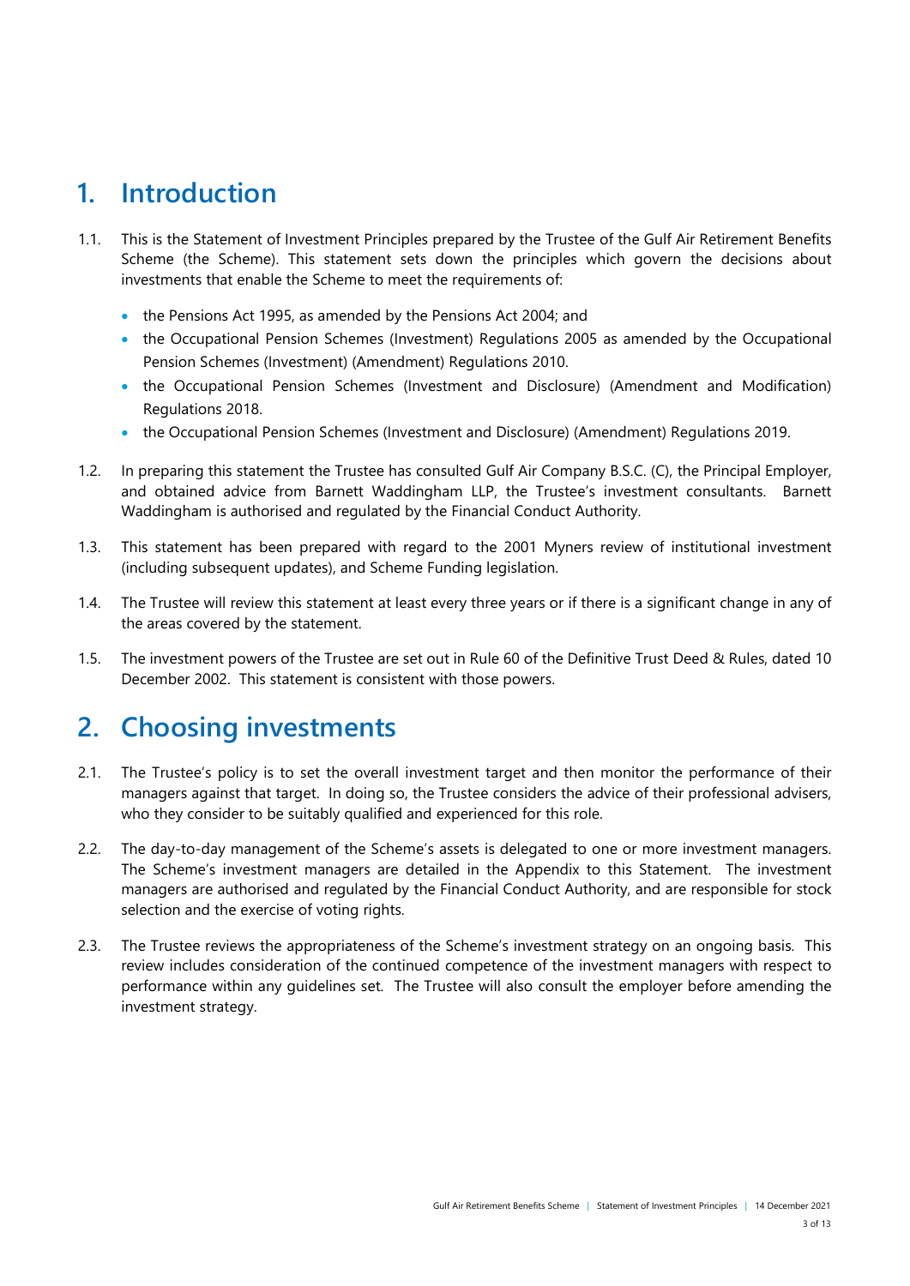### <span id="page-2-0"></span>**1. Introduction**

- 1.1. This is the Statement of Investment Principles prepared by the Trustee of the Gulf Air Retirement Benefits Scheme (the Scheme). This statement sets down the principles which govern the decisions about investments that enable the Scheme to meet the requirements of:
	- the Pensions Act 1995, as amended by the Pensions Act 2004; and
	- the Occupational Pension Schemes (Investment) Regulations 2005 as amended by the Occupational Pension Schemes (Investment) (Amendment) Regulations 2010.
	- the Occupational Pension Schemes (Investment and Disclosure) (Amendment and Modification) Regulations 2018.
	- the Occupational Pension Schemes (Investment and Disclosure) (Amendment) Regulations 2019.
- 1.2. In preparing this statement the Trustee has consulted Gulf Air Company B.S.C. (C), the Principal Employer, and obtained advice from Barnett Waddingham LLP, the Trustee's investment consultants. Barnett Waddingham is authorised and regulated by the Financial Conduct Authority.
- 1.3. This statement has been prepared with regard to the 2001 Myners review of institutional investment (including subsequent updates), and Scheme Funding legislation.
- 1.4. The Trustee will review this statement at least every three years or if there is a significant change in any of the areas covered by the statement.
- 1.5. The investment powers of the Trustee are set out in Rule 60 of the Definitive Trust Deed & Rules, dated 10 December 2002. This statement is consistent with those powers.

### <span id="page-2-1"></span>**2. Choosing investments**

- 2.1. The Trustee's policy is to set the overall investment target and then monitor the performance of their managers against that target. In doing so, the Trustee considers the advice of their professional advisers, who they consider to be suitably qualified and experienced for this role.
- 2.2. The day-to-day management of the Scheme's assets is delegated to one or more investment managers. The Scheme's investment managers are detailed in the Appendix to this Statement. The investment managers are authorised and regulated by the Financial Conduct Authority, and are responsible for stock selection and the exercise of voting rights.
- 2.3. The Trustee reviews the appropriateness of the Scheme's investment strategy on an ongoing basis. This review includes consideration of the continued competence of the investment managers with respect to performance within any guidelines set. The Trustee will also consult the employer before amending the investment strategy.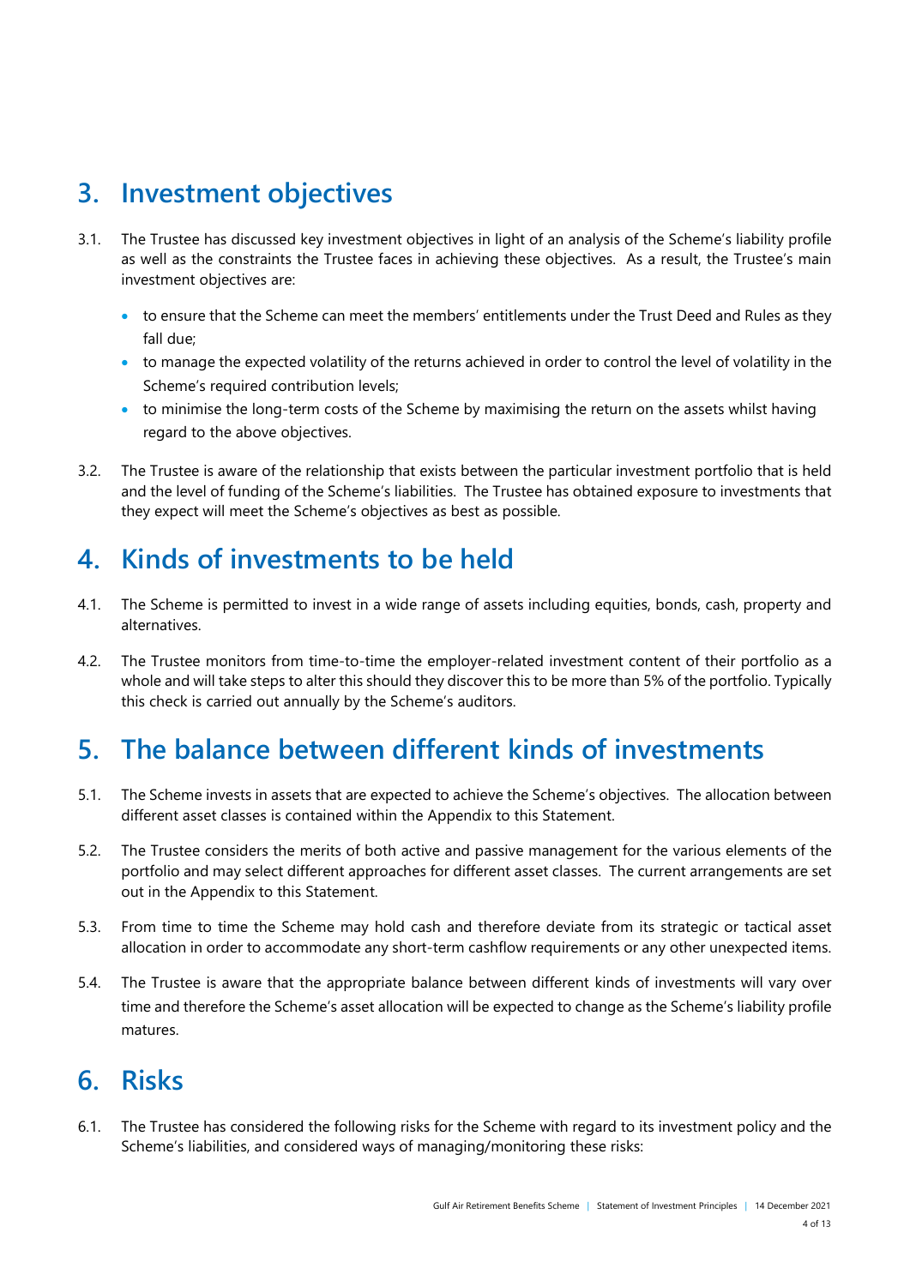### <span id="page-3-0"></span>**3. Investment objectives**

- 3.1. The Trustee has discussed key investment objectives in light of an analysis of the Scheme's liability profile as well as the constraints the Trustee faces in achieving these objectives. As a result, the Trustee's main investment objectives are:
	- to ensure that the Scheme can meet the members' entitlements under the Trust Deed and Rules as they fall due;
	- to manage the expected volatility of the returns achieved in order to control the level of volatility in the Scheme's required contribution levels;
	- to minimise the long-term costs of the Scheme by maximising the return on the assets whilst having regard to the above objectives.
- 3.2. The Trustee is aware of the relationship that exists between the particular investment portfolio that is held and the level of funding of the Scheme's liabilities. The Trustee has obtained exposure to investments that they expect will meet the Scheme's objectives as best as possible.

# <span id="page-3-1"></span>**4. Kinds of investments to be held**

- 4.1. The Scheme is permitted to invest in a wide range of assets including equities, bonds, cash, property and alternatives.
- 4.2. The Trustee monitors from time-to-time the employer-related investment content of their portfolio as a whole and will take steps to alter this should they discover this to be more than 5% of the portfolio. Typically this check is carried out annually by the Scheme's auditors.

# <span id="page-3-2"></span>**5. The balance between different kinds of investments**

- 5.1. The Scheme invests in assets that are expected to achieve the Scheme's objectives. The allocation between different asset classes is contained within the Appendix to this Statement.
- 5.2. The Trustee considers the merits of both active and passive management for the various elements of the portfolio and may select different approaches for different asset classes. The current arrangements are set out in the Appendix to this Statement.
- 5.3. From time to time the Scheme may hold cash and therefore deviate from its strategic or tactical asset allocation in order to accommodate any short-term cashflow requirements or any other unexpected items.
- 5.4. The Trustee is aware that the appropriate balance between different kinds of investments will vary over time and therefore the Scheme's asset allocation will be expected to change as the Scheme's liability profile matures.

### <span id="page-3-3"></span>**6. Risks**

6.1. The Trustee has considered the following risks for the Scheme with regard to its investment policy and the Scheme's liabilities, and considered ways of managing/monitoring these risks: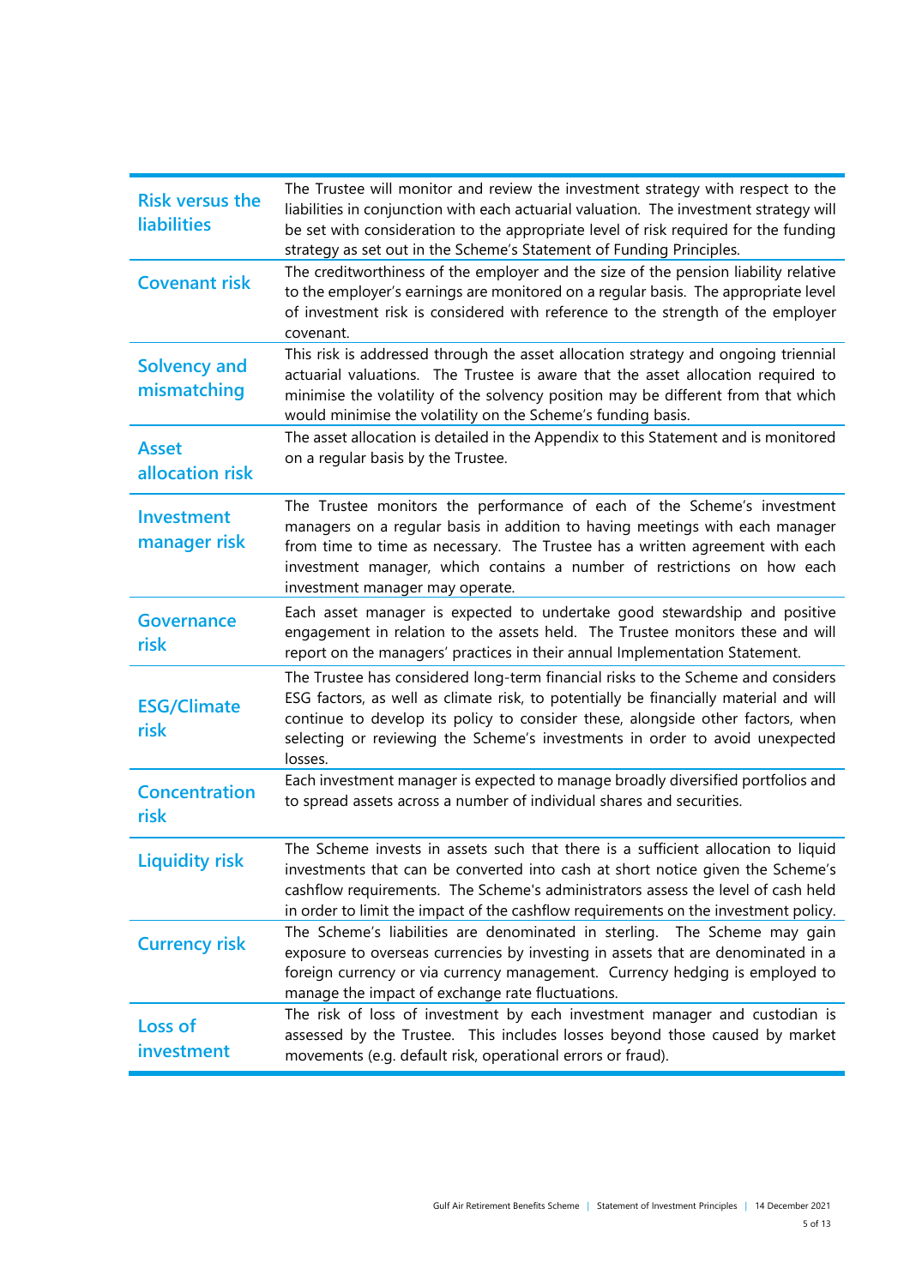| <b>Risk versus the</b><br><b>liabilities</b> | The Trustee will monitor and review the investment strategy with respect to the<br>liabilities in conjunction with each actuarial valuation. The investment strategy will<br>be set with consideration to the appropriate level of risk required for the funding<br>strategy as set out in the Scheme's Statement of Funding Principles.                |
|----------------------------------------------|---------------------------------------------------------------------------------------------------------------------------------------------------------------------------------------------------------------------------------------------------------------------------------------------------------------------------------------------------------|
| <b>Covenant risk</b>                         | The creditworthiness of the employer and the size of the pension liability relative<br>to the employer's earnings are monitored on a regular basis. The appropriate level<br>of investment risk is considered with reference to the strength of the employer<br>covenant.                                                                               |
| <b>Solvency and</b><br>mismatching           | This risk is addressed through the asset allocation strategy and ongoing triennial<br>actuarial valuations. The Trustee is aware that the asset allocation required to<br>minimise the volatility of the solvency position may be different from that which<br>would minimise the volatility on the Scheme's funding basis.                             |
| <b>Asset</b><br>allocation risk              | The asset allocation is detailed in the Appendix to this Statement and is monitored<br>on a regular basis by the Trustee.                                                                                                                                                                                                                               |
| <b>Investment</b><br>manager risk            | The Trustee monitors the performance of each of the Scheme's investment<br>managers on a regular basis in addition to having meetings with each manager<br>from time to time as necessary. The Trustee has a written agreement with each<br>investment manager, which contains a number of restrictions on how each<br>investment manager may operate.  |
| <b>Governance</b><br>risk                    | Each asset manager is expected to undertake good stewardship and positive<br>engagement in relation to the assets held. The Trustee monitors these and will<br>report on the managers' practices in their annual Implementation Statement.                                                                                                              |
| <b>ESG/Climate</b><br>risk                   | The Trustee has considered long-term financial risks to the Scheme and considers<br>ESG factors, as well as climate risk, to potentially be financially material and will<br>continue to develop its policy to consider these, alongside other factors, when<br>selecting or reviewing the Scheme's investments in order to avoid unexpected<br>losses. |
| <b>Concentration</b><br>risk                 | Each investment manager is expected to manage broadly diversified portfolios and<br>to spread assets across a number of individual shares and securities.                                                                                                                                                                                               |
| <b>Liquidity risk</b>                        | The Scheme invests in assets such that there is a sufficient allocation to liquid<br>investments that can be converted into cash at short notice given the Scheme's<br>cashflow requirements. The Scheme's administrators assess the level of cash held<br>in order to limit the impact of the cashflow requirements on the investment policy.          |
| <b>Currency risk</b>                         | The Scheme's liabilities are denominated in sterling. The Scheme may gain<br>exposure to overseas currencies by investing in assets that are denominated in a<br>foreign currency or via currency management. Currency hedging is employed to<br>manage the impact of exchange rate fluctuations.                                                       |
| Loss of<br>investment                        | The risk of loss of investment by each investment manager and custodian is<br>assessed by the Trustee. This includes losses beyond those caused by market<br>movements (e.g. default risk, operational errors or fraud).                                                                                                                                |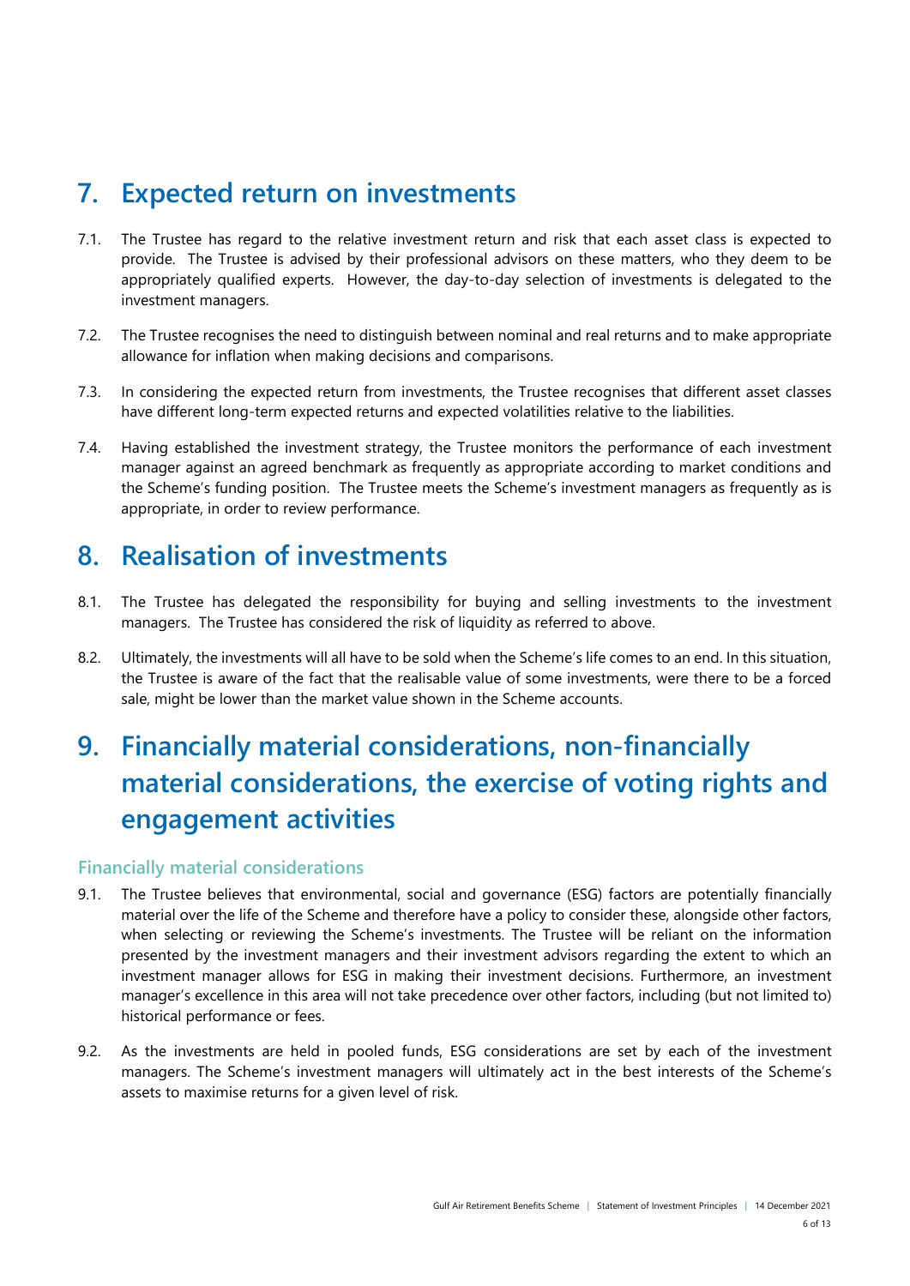### <span id="page-5-0"></span>**7. Expected return on investments**

- 7.1. The Trustee has regard to the relative investment return and risk that each asset class is expected to provide. The Trustee is advised by their professional advisors on these matters, who they deem to be appropriately qualified experts. However, the day-to-day selection of investments is delegated to the investment managers.
- 7.2. The Trustee recognises the need to distinguish between nominal and real returns and to make appropriate allowance for inflation when making decisions and comparisons.
- 7.3. In considering the expected return from investments, the Trustee recognises that different asset classes have different long-term expected returns and expected volatilities relative to the liabilities.
- 7.4. Having established the investment strategy, the Trustee monitors the performance of each investment manager against an agreed benchmark as frequently as appropriate according to market conditions and the Scheme's funding position. The Trustee meets the Scheme's investment managers as frequently as is appropriate, in order to review performance.

### <span id="page-5-1"></span>**8. Realisation of investments**

- 8.1. The Trustee has delegated the responsibility for buying and selling investments to the investment managers. The Trustee has considered the risk of liquidity as referred to above.
- 8.2. Ultimately, the investments will all have to be sold when the Scheme's life comes to an end. In this situation, the Trustee is aware of the fact that the realisable value of some investments, were there to be a forced sale, might be lower than the market value shown in the Scheme accounts.

# <span id="page-5-2"></span>**9. Financially material considerations, non-financially material considerations, the exercise of voting rights and engagement activities**

#### **Financially material considerations**

- 9.1. The Trustee believes that environmental, social and governance (ESG) factors are potentially financially material over the life of the Scheme and therefore have a policy to consider these, alongside other factors, when selecting or reviewing the Scheme's investments. The Trustee will be reliant on the information presented by the investment managers and their investment advisors regarding the extent to which an investment manager allows for ESG in making their investment decisions. Furthermore, an investment manager's excellence in this area will not take precedence over other factors, including (but not limited to) historical performance or fees.
- 9.2. As the investments are held in pooled funds, ESG considerations are set by each of the investment managers. The Scheme's investment managers will ultimately act in the best interests of the Scheme's assets to maximise returns for a given level of risk.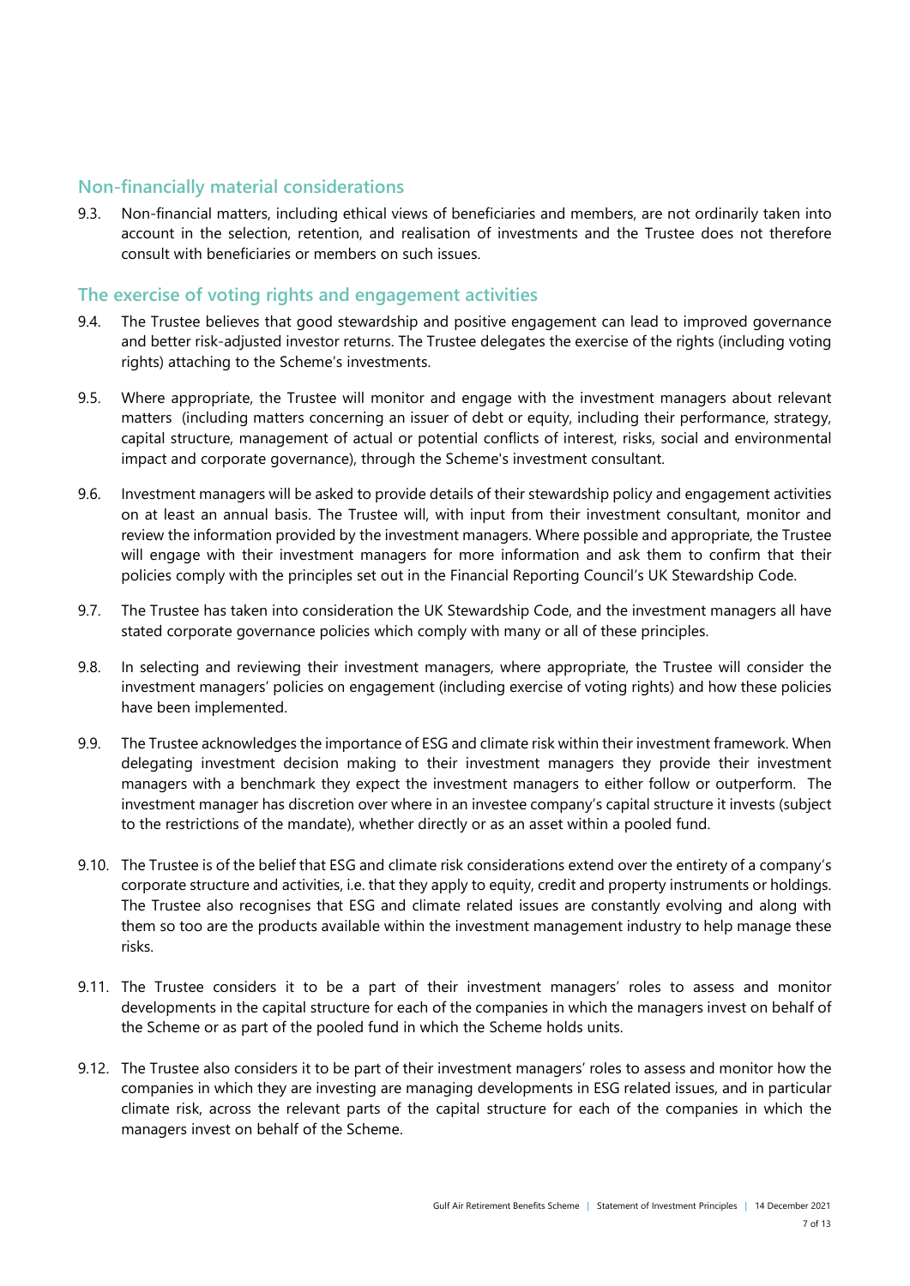#### **Non-financially material considerations**

9.3. Non-financial matters, including ethical views of beneficiaries and members, are not ordinarily taken into account in the selection, retention, and realisation of investments and the Trustee does not therefore consult with beneficiaries or members on such issues.

#### **The exercise of voting rights and engagement activities**

- 9.4. The Trustee believes that good stewardship and positive engagement can lead to improved governance and better risk-adjusted investor returns. The Trustee delegates the exercise of the rights (including voting rights) attaching to the Scheme's investments.
- 9.5. Where appropriate, the Trustee will monitor and engage with the investment managers about relevant matters (including matters concerning an issuer of debt or equity, including their performance, strategy, capital structure, management of actual or potential conflicts of interest, risks, social and environmental impact and corporate governance), through the Scheme's investment consultant.
- 9.6. Investment managers will be asked to provide details of their stewardship policy and engagement activities on at least an annual basis. The Trustee will, with input from their investment consultant, monitor and review the information provided by the investment managers. Where possible and appropriate, the Trustee will engage with their investment managers for more information and ask them to confirm that their policies comply with the principles set out in the Financial Reporting Council's UK Stewardship Code.
- 9.7. The Trustee has taken into consideration the UK Stewardship Code, and the investment managers all have stated corporate governance policies which comply with many or all of these principles.
- 9.8. In selecting and reviewing their investment managers, where appropriate, the Trustee will consider the investment managers' policies on engagement (including exercise of voting rights) and how these policies have been implemented.
- 9.9. The Trustee acknowledges the importance of ESG and climate risk within their investment framework. When delegating investment decision making to their investment managers they provide their investment managers with a benchmark they expect the investment managers to either follow or outperform. The investment manager has discretion over where in an investee company's capital structure it invests (subject to the restrictions of the mandate), whether directly or as an asset within a pooled fund.
- 9.10. The Trustee is of the belief that ESG and climate risk considerations extend over the entirety of a company's corporate structure and activities, i.e. that they apply to equity, credit and property instruments or holdings. The Trustee also recognises that ESG and climate related issues are constantly evolving and along with them so too are the products available within the investment management industry to help manage these risks.
- 9.11. The Trustee considers it to be a part of their investment managers' roles to assess and monitor developments in the capital structure for each of the companies in which the managers invest on behalf of the Scheme or as part of the pooled fund in which the Scheme holds units.
- 9.12. The Trustee also considers it to be part of their investment managers' roles to assess and monitor how the companies in which they are investing are managing developments in ESG related issues, and in particular climate risk, across the relevant parts of the capital structure for each of the companies in which the managers invest on behalf of the Scheme.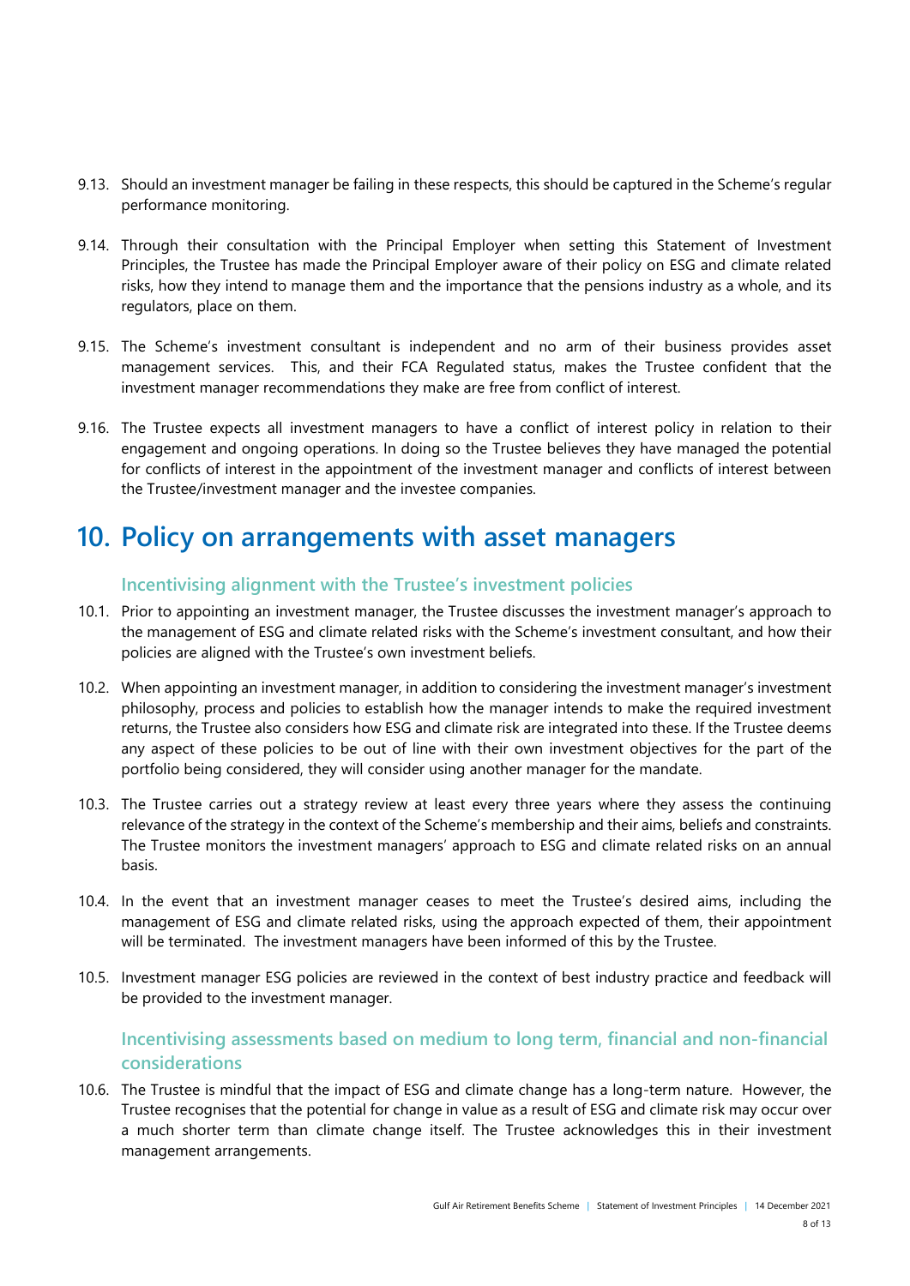- 9.13. Should an investment manager be failing in these respects, this should be captured in the Scheme's regular performance monitoring.
- 9.14. Through their consultation with the Principal Employer when setting this Statement of Investment Principles, the Trustee has made the Principal Employer aware of their policy on ESG and climate related risks, how they intend to manage them and the importance that the pensions industry as a whole, and its regulators, place on them.
- 9.15. The Scheme's investment consultant is independent and no arm of their business provides asset management services. This, and their FCA Regulated status, makes the Trustee confident that the investment manager recommendations they make are free from conflict of interest.
- 9.16. The Trustee expects all investment managers to have a conflict of interest policy in relation to their engagement and ongoing operations. In doing so the Trustee believes they have managed the potential for conflicts of interest in the appointment of the investment manager and conflicts of interest between the Trustee/investment manager and the investee companies.

### **10. Policy on arrangements with asset managers**

#### **Incentivising alignment with the Trustee's investment policies**

- 10.1. Prior to appointing an investment manager, the Trustee discusses the investment manager's approach to the management of ESG and climate related risks with the Scheme's investment consultant, and how their policies are aligned with the Trustee's own investment beliefs.
- 10.2. When appointing an investment manager, in addition to considering the investment manager's investment philosophy, process and policies to establish how the manager intends to make the required investment returns, the Trustee also considers how ESG and climate risk are integrated into these. If the Trustee deems any aspect of these policies to be out of line with their own investment objectives for the part of the portfolio being considered, they will consider using another manager for the mandate.
- 10.3. The Trustee carries out a strategy review at least every three years where they assess the continuing relevance of the strategy in the context of the Scheme's membership and their aims, beliefs and constraints. The Trustee monitors the investment managers' approach to ESG and climate related risks on an annual basis.
- 10.4. In the event that an investment manager ceases to meet the Trustee's desired aims, including the management of ESG and climate related risks, using the approach expected of them, their appointment will be terminated. The investment managers have been informed of this by the Trustee.
- 10.5. Investment manager ESG policies are reviewed in the context of best industry practice and feedback will be provided to the investment manager.

#### **Incentivising assessments based on medium to long term, financial and non-financial considerations**

10.6. The Trustee is mindful that the impact of ESG and climate change has a long-term nature. However, the Trustee recognises that the potential for change in value as a result of ESG and climate risk may occur over a much shorter term than climate change itself. The Trustee acknowledges this in their investment management arrangements.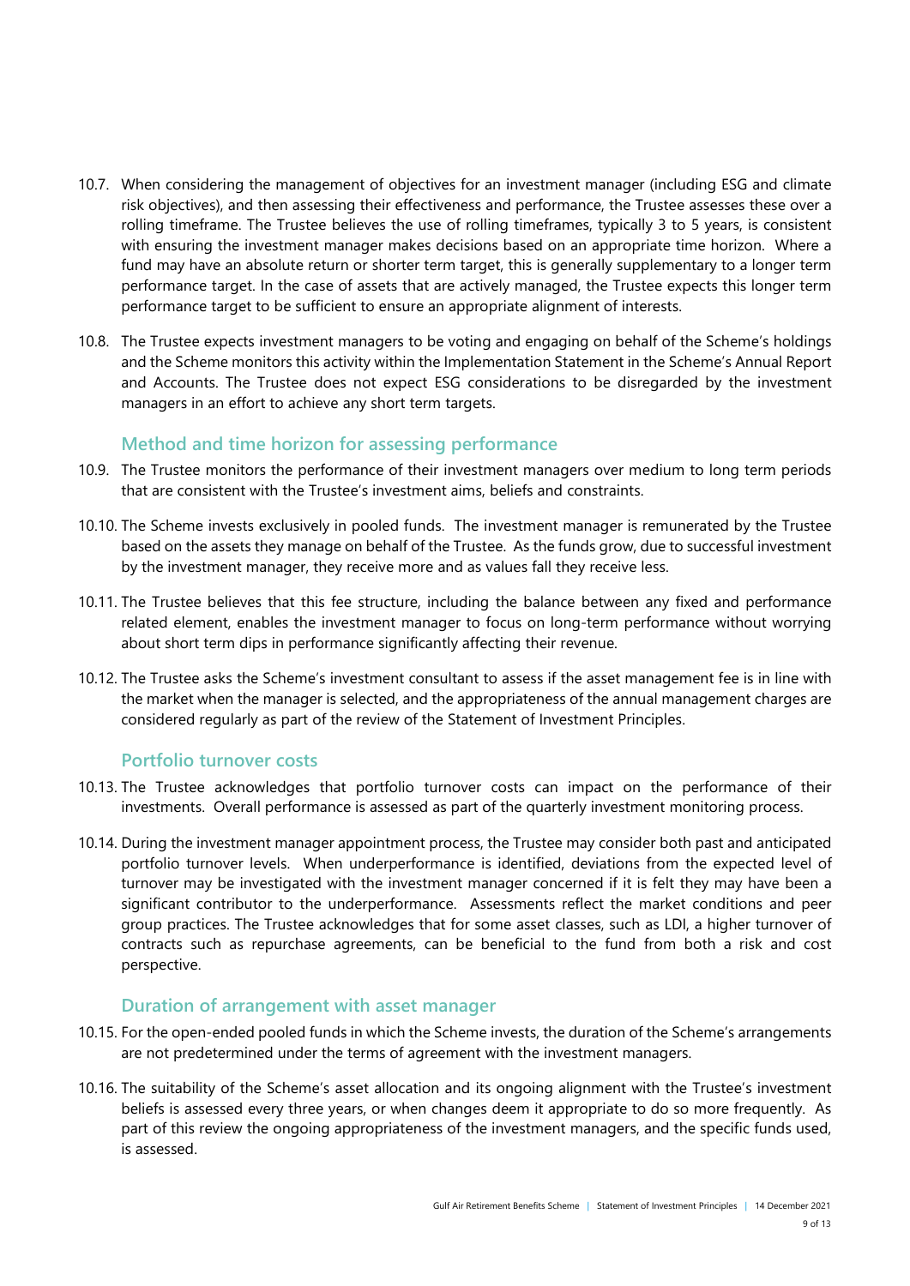- 10.7. When considering the management of objectives for an investment manager (including ESG and climate risk objectives), and then assessing their effectiveness and performance, the Trustee assesses these over a rolling timeframe. The Trustee believes the use of rolling timeframes, typically 3 to 5 years, is consistent with ensuring the investment manager makes decisions based on an appropriate time horizon. Where a fund may have an absolute return or shorter term target, this is generally supplementary to a longer term performance target. In the case of assets that are actively managed, the Trustee expects this longer term performance target to be sufficient to ensure an appropriate alignment of interests.
- 10.8. The Trustee expects investment managers to be voting and engaging on behalf of the Scheme's holdings and the Scheme monitors this activity within the Implementation Statement in the Scheme's Annual Report and Accounts. The Trustee does not expect ESG considerations to be disregarded by the investment managers in an effort to achieve any short term targets.

#### **Method and time horizon for assessing performance**

- 10.9. The Trustee monitors the performance of their investment managers over medium to long term periods that are consistent with the Trustee's investment aims, beliefs and constraints.
- 10.10. The Scheme invests exclusively in pooled funds. The investment manager is remunerated by the Trustee based on the assets they manage on behalf of the Trustee. As the funds grow, due to successful investment by the investment manager, they receive more and as values fall they receive less.
- 10.11. The Trustee believes that this fee structure, including the balance between any fixed and performance related element, enables the investment manager to focus on long-term performance without worrying about short term dips in performance significantly affecting their revenue.
- 10.12. The Trustee asks the Scheme's investment consultant to assess if the asset management fee is in line with the market when the manager is selected, and the appropriateness of the annual management charges are considered regularly as part of the review of the Statement of Investment Principles.

#### **Portfolio turnover costs**

- 10.13. The Trustee acknowledges that portfolio turnover costs can impact on the performance of their investments. Overall performance is assessed as part of the quarterly investment monitoring process.
- 10.14. During the investment manager appointment process, the Trustee may consider both past and anticipated portfolio turnover levels. When underperformance is identified, deviations from the expected level of turnover may be investigated with the investment manager concerned if it is felt they may have been a significant contributor to the underperformance. Assessments reflect the market conditions and peer group practices. The Trustee acknowledges that for some asset classes, such as LDI, a higher turnover of contracts such as repurchase agreements, can be beneficial to the fund from both a risk and cost perspective.

#### **Duration of arrangement with asset manager**

- 10.15. For the open-ended pooled funds in which the Scheme invests, the duration of the Scheme's arrangements are not predetermined under the terms of agreement with the investment managers.
- 10.16. The suitability of the Scheme's asset allocation and its ongoing alignment with the Trustee's investment beliefs is assessed every three years, or when changes deem it appropriate to do so more frequently. As part of this review the ongoing appropriateness of the investment managers, and the specific funds used, is assessed.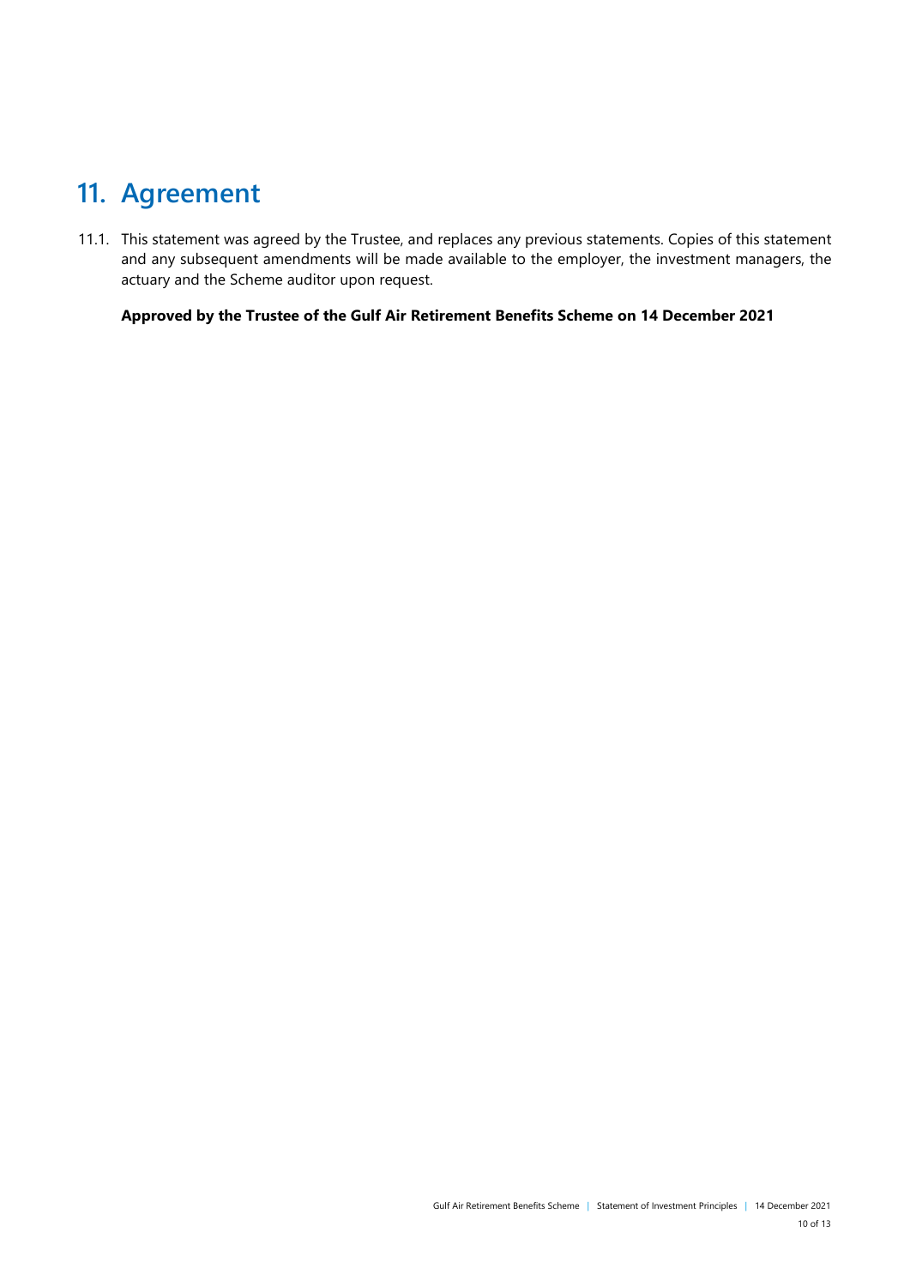### <span id="page-9-0"></span>**11. Agreement**

11.1. This statement was agreed by the Trustee, and replaces any previous statements. Copies of this statement and any subsequent amendments will be made available to the employer, the investment managers, the actuary and the Scheme auditor upon request.

**Approved by the Trustee of the Gulf Air Retirement Benefits Scheme on 14 December 2021**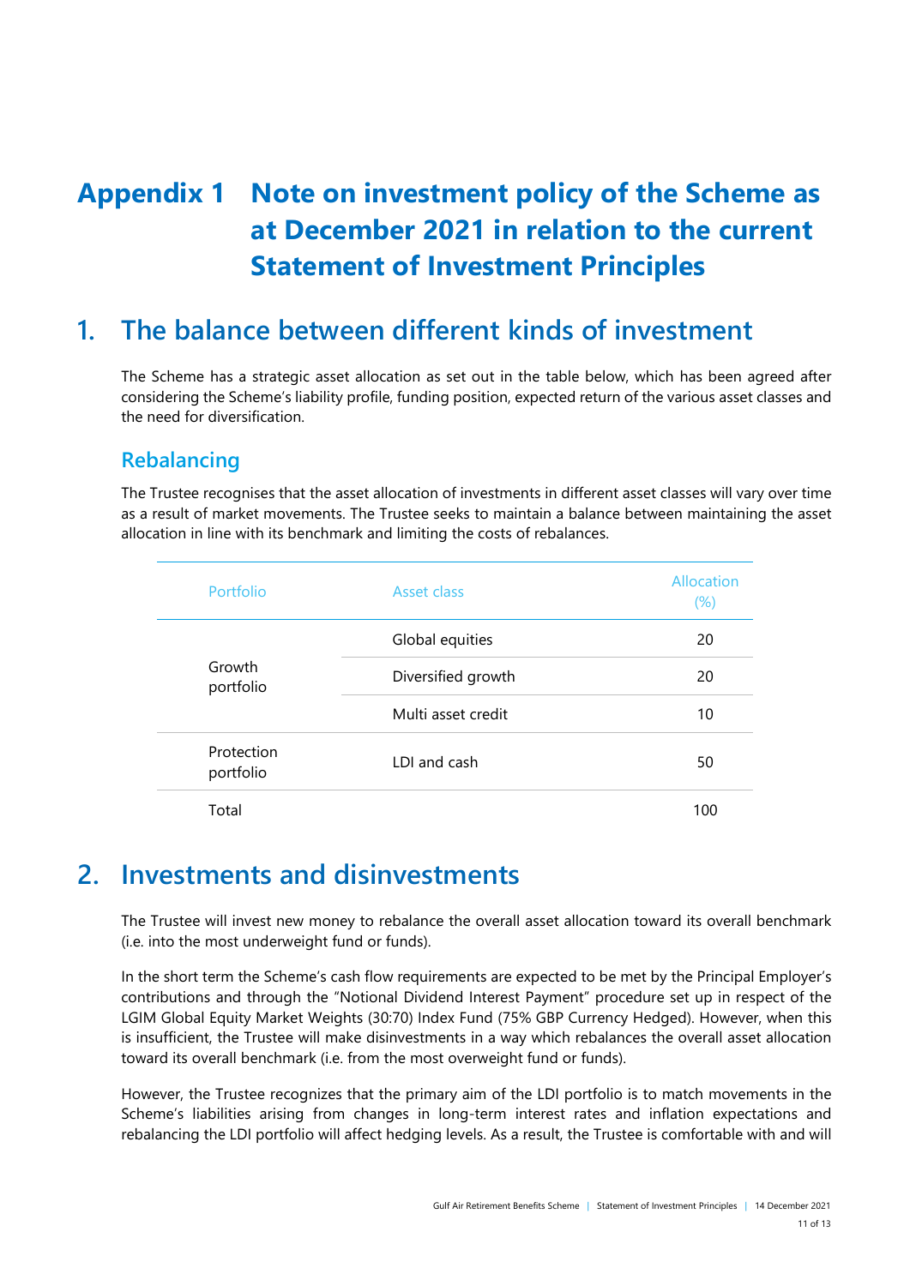# <span id="page-10-0"></span>**Appendix 1 Note on investment policy of the Scheme as at December 2021 in relation to the current Statement of Investment Principles**

### **1. The balance between different kinds of investment**

The Scheme has a strategic asset allocation as set out in the table below, which has been agreed after considering the Scheme's liability profile, funding position, expected return of the various asset classes and the need for diversification.

#### **Rebalancing**

The Trustee recognises that the asset allocation of investments in different asset classes will vary over time as a result of market movements. The Trustee seeks to maintain a balance between maintaining the asset allocation in line with its benchmark and limiting the costs of rebalances.

| Portfolio               | Asset class         | Allocation<br>(%) |
|-------------------------|---------------------|-------------------|
|                         | Global equities     | 20                |
| Growth<br>portfolio     | Diversified growth  | 20                |
|                         | Multi asset credit  | 10                |
| Protection<br>portfolio | <b>IDI</b> and cash | 50                |
| Total                   |                     | 100               |

#### **2. Investments and disinvestments**

The Trustee will invest new money to rebalance the overall asset allocation toward its overall benchmark (i.e. into the most underweight fund or funds).

In the short term the Scheme's cash flow requirements are expected to be met by the Principal Employer's contributions and through the "Notional Dividend Interest Payment" procedure set up in respect of the LGIM Global Equity Market Weights (30:70) Index Fund (75% GBP Currency Hedged). However, when this is insufficient, the Trustee will make disinvestments in a way which rebalances the overall asset allocation toward its overall benchmark (i.e. from the most overweight fund or funds).

However, the Trustee recognizes that the primary aim of the LDI portfolio is to match movements in the Scheme's liabilities arising from changes in long-term interest rates and inflation expectations and rebalancing the LDI portfolio will affect hedging levels. As a result, the Trustee is comfortable with and will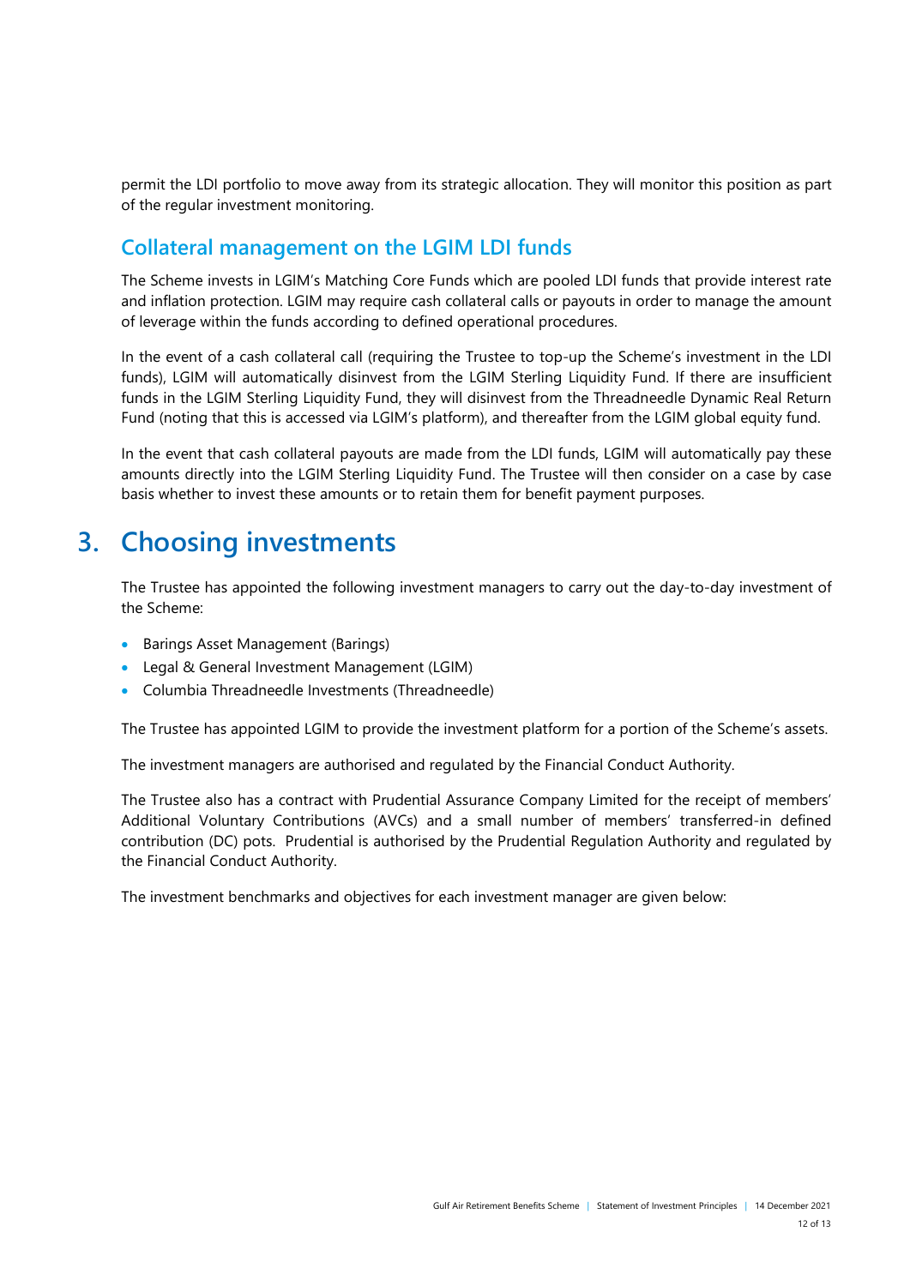permit the LDI portfolio to move away from its strategic allocation. They will monitor this position as part of the regular investment monitoring.

#### **Collateral management on the LGIM LDI funds**

The Scheme invests in LGIM's Matching Core Funds which are pooled LDI funds that provide interest rate and inflation protection. LGIM may require cash collateral calls or payouts in order to manage the amount of leverage within the funds according to defined operational procedures.

In the event of a cash collateral call (requiring the Trustee to top-up the Scheme's investment in the LDI funds), LGIM will automatically disinvest from the LGIM Sterling Liquidity Fund. If there are insufficient funds in the LGIM Sterling Liquidity Fund, they will disinvest from the Threadneedle Dynamic Real Return Fund (noting that this is accessed via LGIM's platform), and thereafter from the LGIM global equity fund.

In the event that cash collateral payouts are made from the LDI funds, LGIM will automatically pay these amounts directly into the LGIM Sterling Liquidity Fund. The Trustee will then consider on a case by case basis whether to invest these amounts or to retain them for benefit payment purposes.

### **3. Choosing investments**

The Trustee has appointed the following investment managers to carry out the day-to-day investment of the Scheme:

- Barings Asset Management (Barings)
- Legal & General Investment Management (LGIM)
- Columbia Threadneedle Investments (Threadneedle)

The Trustee has appointed LGIM to provide the investment platform for a portion of the Scheme's assets.

The investment managers are authorised and regulated by the Financial Conduct Authority.

The Trustee also has a contract with Prudential Assurance Company Limited for the receipt of members' Additional Voluntary Contributions (AVCs) and a small number of members' transferred-in defined contribution (DC) pots. Prudential is authorised by the Prudential Regulation Authority and regulated by the Financial Conduct Authority.

The investment benchmarks and objectives for each investment manager are given below: